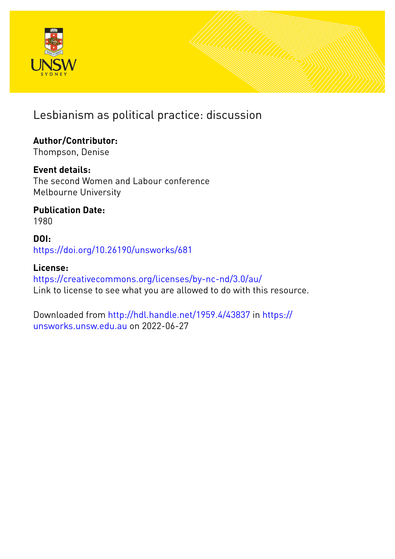

Lesbianism as political practice: discussion

# **Author/Contributor:**

Thompson, Denise

## **Event details:**

The second Women and Labour conference Melbourne University

## **Publication Date:** 1980

**DOI:** [https://doi.org/10.26190/unsworks/681](http://dx.doi.org/https://doi.org/10.26190/unsworks/681)

## **License:**

<https://creativecommons.org/licenses/by-nc-nd/3.0/au/> Link to license to see what you are allowed to do with this resource.

Downloaded from <http://hdl.handle.net/1959.4/43837> in [https://](https://unsworks.unsw.edu.au) [unsworks.unsw.edu.au](https://unsworks.unsw.edu.au) on 2022-06-27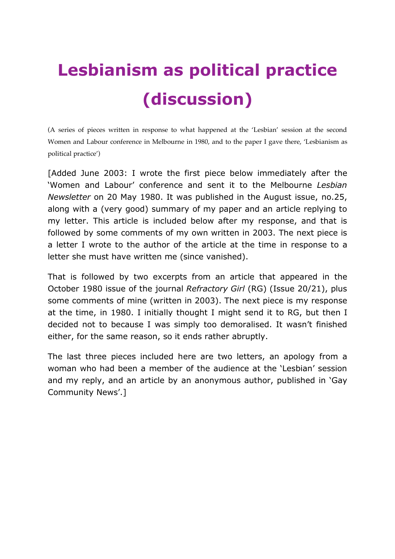# **Lesbianism as political practice (discussion)**

(A series of pieces written in response to what happened at the 'Lesbian' session at the second Women and Labour conference in Melbourne in 1980, and to the paper I gave there, 'Lesbianism as political practice')

[Added June 2003: I wrote the first piece below immediately after the 'Women and Labour' conference and sent it to the Melbourne *Lesbian Newsletter* on 20 May 1980. It was published in the August issue, no.25, along with a (very good) summary of my paper and an article replying to my letter. This article is included below after my response, and that is followed by some comments of my own written in 2003. The next piece is a letter I wrote to the author of the article at the time in response to a letter she must have written me (since vanished).

That is followed by two excerpts from an article that appeared in the October 1980 issue of the journal *Refractory Girl* (RG) (Issue 20/21), plus some comments of mine (written in 2003). The next piece is my response at the time, in 1980. I initially thought I might send it to RG, but then I decided not to because I was simply too demoralised. It wasn't finished either, for the same reason, so it ends rather abruptly.

The last three pieces included here are two letters, an apology from a woman who had been a member of the audience at the 'Lesbian' session and my reply, and an article by an anonymous author, published in 'Gay Community News'.]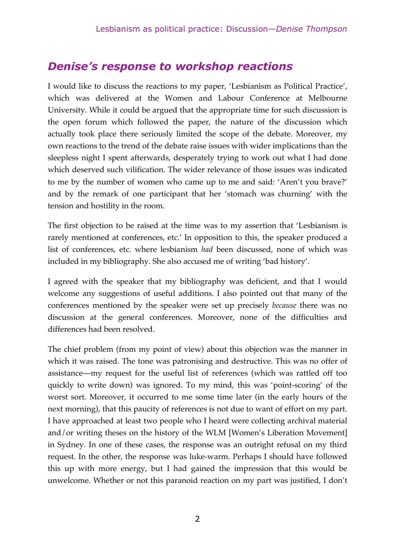## *Denise's response to workshop reactions*

I would like to discuss the reactions to my paper, 'Lesbianism as Political Practice', which was delivered at the Women and Labour Conference at Melbourne University. While it could be argued that the appropriate time for such discussion is the open forum which followed the paper, the nature of the discussion which actually took place there seriously limited the scope of the debate. Moreover, my own reactions to the trend of the debate raise issues with wider implications than the sleepless night I spent afterwards, desperately trying to work out what I had done which deserved such vilification. The wider relevance of those issues was indicated to me by the number of women who came up to me and said: 'Aren't you brave?' and by the remark of one participant that her 'stomach was churning' with the tension and hostility in the room.

The first objection to be raised at the time was to my assertion that 'Lesbianism is rarely mentioned at conferences, etc.' In opposition to this, the speaker produced a list of conferences, etc. where lesbianism *had* been discussed, none of which was included in my bibliography. She also accused me of writing 'bad history'.

I agreed with the speaker that my bibliography was deficient, and that I would welcome any suggestions of useful additions. I also pointed out that many of the conferences mentioned by the speaker were set up precisely *because* there was no discussion at the general conferences. Moreover, none of the difficulties and differences had been resolved.

The chief problem (from my point of view) about this objection was the manner in which it was raised. The tone was patronising and destructive. This was no offer of assistance—my request for the useful list of references (which was rattled off too quickly to write down) was ignored. To my mind, this was 'point-scoring' of the worst sort. Moreover, it occurred to me some time later (in the early hours of the next morning), that this paucity of references is not due to want of effort on my part. I have approached at least two people who I heard were collecting archival material and/or writing theses on the history of the WLM [Women's Liberation Movement] in Sydney. In one of these cases, the response was an outright refusal on my third request. In the other, the response was luke-warm. Perhaps I should have followed this up with more energy, but I had gained the impression that this would be unwelcome. Whether or not this paranoid reaction on my part was justified, I don't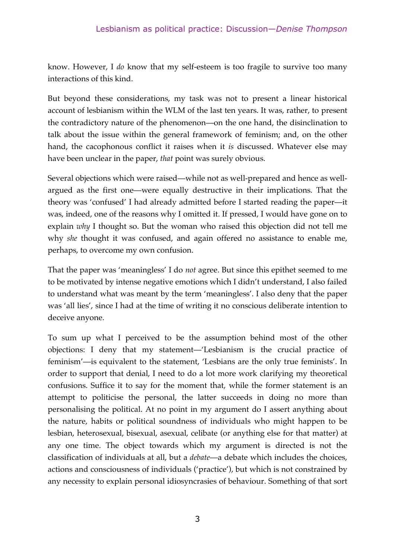know. However, I *do* know that my self-esteem is too fragile to survive too many interactions of this kind.

But beyond these considerations, my task was not to present a linear historical account of lesbianism within the WLM of the last ten years. It was, rather, to present the contradictory nature of the phenomenon—on the one hand, the disinclination to talk about the issue within the general framework of feminism; and, on the other hand, the cacophonous conflict it raises when it *is* discussed. Whatever else may have been unclear in the paper, *that* point was surely obvious.

Several objections which were raised—while not as well-prepared and hence as wellargued as the first one—were equally destructive in their implications. That the theory was 'confused' I had already admitted before I started reading the paper—it was, indeed, one of the reasons why I omitted it. If pressed, I would have gone on to explain *why* I thought so. But the woman who raised this objection did not tell me why *she* thought it was confused, and again offered no assistance to enable me, perhaps, to overcome my own confusion.

That the paper was 'meaningless' I do *not* agree. But since this epithet seemed to me to be motivated by intense negative emotions which I didn't understand, I also failed to understand what was meant by the term 'meaningless'. I also deny that the paper was 'all lies', since I had at the time of writing it no conscious deliberate intention to deceive anyone.

To sum up what I perceived to be the assumption behind most of the other objections: I deny that my statement—'Lesbianism is the crucial practice of feminism'—is equivalent to the statement, 'Lesbians are the only true feminists'. In order to support that denial, I need to do a lot more work clarifying my theoretical confusions. Suffice it to say for the moment that, while the former statement is an attempt to politicise the personal, the latter succeeds in doing no more than personalising the political. At no point in my argument do I assert anything about the nature, habits or political soundness of individuals who might happen to be lesbian, heterosexual, bisexual, asexual, celibate (or anything else for that matter) at any one time. The object towards which my argument is directed is not the classification of individuals at all, but a *debate*—a debate which includes the choices, actions and consciousness of individuals ('practice'), but which is not constrained by any necessity to explain personal idiosyncrasies of behaviour. Something of that sort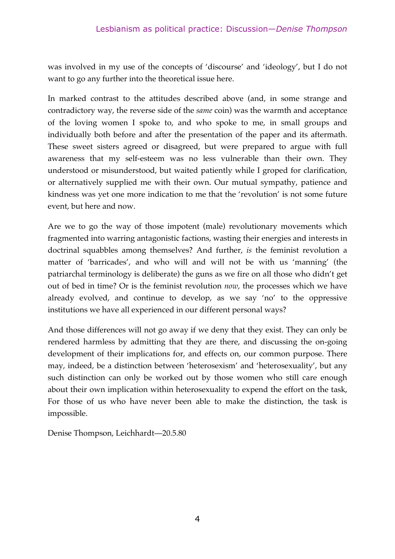was involved in my use of the concepts of 'discourse' and 'ideology', but I do not want to go any further into the theoretical issue here.

In marked contrast to the attitudes described above (and, in some strange and contradictory way, the reverse side of the *same* coin) was the warmth and acceptance of the loving women I spoke to, and who spoke to me, in small groups and individually both before and after the presentation of the paper and its aftermath. These sweet sisters agreed or disagreed, but were prepared to argue with full awareness that my self-esteem was no less vulnerable than their own. They understood or misunderstood, but waited patiently while I groped for clarification, or alternatively supplied me with their own. Our mutual sympathy, patience and kindness was yet one more indication to me that the 'revolution' is not some future event, but here and now.

Are we to go the way of those impotent (male) revolutionary movements which fragmented into warring antagonistic factions, wasting their energies and interests in doctrinal squabbles among themselves? And further, *is* the feminist revolution a matter of 'barricades', and who will and will not be with us 'manning' (the patriarchal terminology is deliberate) the guns as we fire on all those who didn't get out of bed in time? Or is the feminist revolution *now*, the processes which we have already evolved, and continue to develop, as we say 'no' to the oppressive institutions we have all experienced in our different personal ways?

And those differences will not go away if we deny that they exist. They can only be rendered harmless by admitting that they are there, and discussing the on-going development of their implications for, and effects on, our common purpose. There may, indeed, be a distinction between 'heterosexism' and 'heterosexuality', but any such distinction can only be worked out by those women who still care enough about their own implication within heterosexuality to expend the effort on the task, For those of us who have never been able to make the distinction, the task is impossible.

Denise Thompson, Leichhardt—20.5.80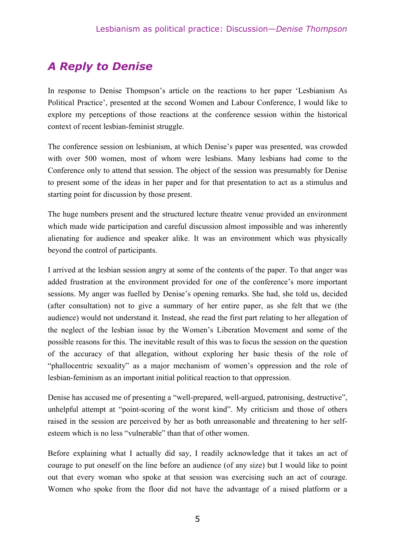## *A Reply to Denise*

In response to Denise Thompson's article on the reactions to her paper 'Lesbianism As Political Practice', presented at the second Women and Labour Conference, I would like to explore my perceptions of those reactions at the conference session within the historical context of recent lesbian-feminist struggle.

The conference session on lesbianism, at which Denise's paper was presented, was crowded with over 500 women, most of whom were lesbians. Many lesbians had come to the Conference only to attend that session. The object of the session was presumably for Denise to present some of the ideas in her paper and for that presentation to act as a stimulus and starting point for discussion by those present.

The huge numbers present and the structured lecture theatre venue provided an environment which made wide participation and careful discussion almost impossible and was inherently alienating for audience and speaker alike. It was an environment which was physically beyond the control of participants.

I arrived at the lesbian session angry at some of the contents of the paper. To that anger was added frustration at the environment provided for one of the conference's more important sessions. My anger was fuelled by Denise's opening remarks. She had, she told us, decided (after consultation) not to give a summary of her entire paper, as she felt that we (the audience) would not understand it. Instead, she read the first part relating to her allegation of the neglect of the lesbian issue by the Women's Liberation Movement and some of the possible reasons for this. The inevitable result of this was to focus the session on the question of the accuracy of that allegation, without exploring her basic thesis of the role of "phallocentric sexuality" as a major mechanism of women's oppression and the role of lesbian-feminism as an important initial political reaction to that oppression.

Denise has accused me of presenting a "well-prepared, well-argued, patronising, destructive", unhelpful attempt at "point-scoring of the worst kind". My criticism and those of others raised in the session are perceived by her as both unreasonable and threatening to her selfesteem which is no less "vulnerable" than that of other women.

Before explaining what I actually did say, I readily acknowledge that it takes an act of courage to put oneself on the line before an audience (of any size) but I would like to point out that every woman who spoke at that session was exercising such an act of courage. Women who spoke from the floor did not have the advantage of a raised platform or a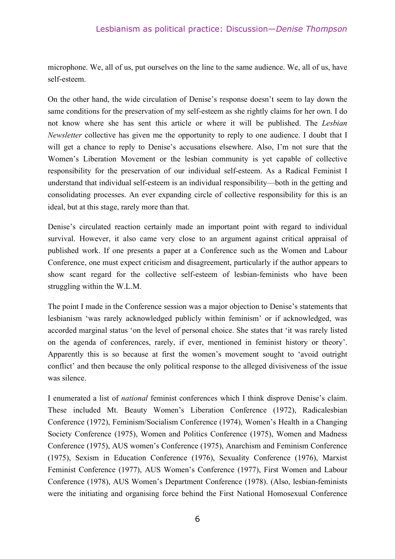#### Lesbianism as political practice: Discussion—*Denise Thompson*

microphone. We, all of us, put ourselves on the line to the same audience. We, all of us, have self-esteem.

On the other hand, the wide circulation of Denise's response doesn't seem to lay down the same conditions for the preservation of my self-esteem as she rightly claims for her own. I do not know where she has sent this article or where it will be published. The *Lesbian Newsletter* collective has given me the opportunity to reply to one audience. I doubt that I will get a chance to reply to Denise's accusations elsewhere. Also, I'm not sure that the Women's Liberation Movement or the lesbian community is yet capable of collective responsibility for the preservation of our individual self-esteem. As a Radical Feminist I understand that individual self-esteem is an individual responsibility—both in the getting and consolidating processes. An ever expanding circle of collective responsibility for this is an ideal, but at this stage, rarely more than that.

Denise's circulated reaction certainly made an important point with regard to individual survival. However, it also came very close to an argument against critical appraisal of published work. If one presents a paper at a Conference such as the Women and Labour Conference, one must expect criticism and disagreement, particularly if the author appears to show scant regard for the collective self-esteem of lesbian-feminists who have been struggling within the W.L.M.

The point I made in the Conference session was a major objection to Denise's statements that lesbianism 'was rarely acknowledged publicly within feminism' or if acknowledged, was accorded marginal status 'on the level of personal choice. She states that 'it was rarely listed on the agenda of conferences, rarely, if ever, mentioned in feminist history or theory'. Apparently this is so because at first the women's movement sought to 'avoid outright conflict' and then because the only political response to the alleged divisiveness of the issue was silence.

I enumerated a list of *national* feminist conferences which I think disprove Denise's claim. These included Mt. Beauty Women's Liberation Conference (1972), Radicalesbian Conference (1972), Feminism/Socialism Conference (1974), Women's Health in a Changing Society Conference (1975), Women and Politics Conference (1975), Women and Madness Conference (1975), AUS women's Conference (1975), Anarchism and Feminism Conference (1975), Sexism in Education Conference (1976), Sexuality Conference (1976), Marxist Feminist Conference (1977), AUS Women's Conference (1977), First Women and Labour Conference (1978), AUS Women's Department Conference (1978). (Also, lesbian-feminists were the initiating and organising force behind the First National Homosexual Conference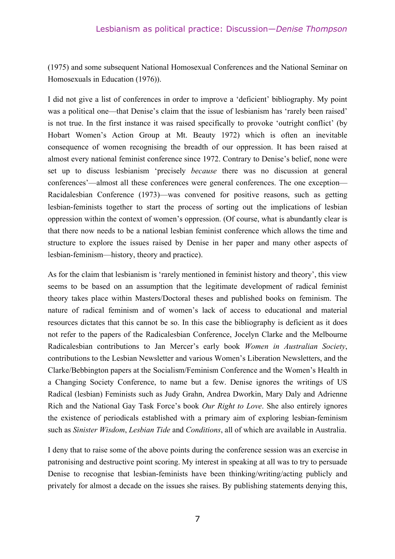(1975) and some subsequent National Homosexual Conferences and the National Seminar on Homosexuals in Education (1976)).

I did not give a list of conferences in order to improve a 'deficient' bibliography. My point was a political one—that Denise's claim that the issue of lesbianism has 'rarely been raised' is not true. In the first instance it was raised specifically to provoke 'outright conflict' (by Hobart Women's Action Group at Mt. Beauty 1972) which is often an inevitable consequence of women recognising the breadth of our oppression. It has been raised at almost every national feminist conference since 1972. Contrary to Denise's belief, none were set up to discuss lesbianism 'precisely *because* there was no discussion at general conferences'—almost all these conferences were general conferences. The one exception— Racidalesbian Conference (1973)—was convened for positive reasons, such as getting lesbian-feminists together to start the process of sorting out the implications of lesbian oppression within the context of women's oppression. (Of course, what is abundantly clear is that there now needs to be a national lesbian feminist conference which allows the time and structure to explore the issues raised by Denise in her paper and many other aspects of lesbian-feminism—history, theory and practice).

As for the claim that lesbianism is 'rarely mentioned in feminist history and theory', this view seems to be based on an assumption that the legitimate development of radical feminist theory takes place within Masters/Doctoral theses and published books on feminism. The nature of radical feminism and of women's lack of access to educational and material resources dictates that this cannot be so. In this case the bibliography is deficient as it does not refer to the papers of the Radicalesbian Conference, Jocelyn Clarke and the Melbourne Radicalesbian contributions to Jan Mercer's early book *Women in Australian Society*, contributions to the Lesbian Newsletter and various Women's Liberation Newsletters, and the Clarke/Bebbington papers at the Socialism/Feminism Conference and the Women's Health in a Changing Society Conference, to name but a few. Denise ignores the writings of US Radical (lesbian) Feminists such as Judy Grahn, Andrea Dworkin, Mary Daly and Adrienne Rich and the National Gay Task Force's book *Our Right to Love*. She also entirely ignores the existence of periodicals established with a primary aim of exploring lesbian-feminism such as *Sinister Wisdom*, *Lesbian Tide* and *Conditions*, all of which are available in Australia.

I deny that to raise some of the above points during the conference session was an exercise in patronising and destructive point scoring. My interest in speaking at all was to try to persuade Denise to recognise that lesbian-feminists have been thinking/writing/acting publicly and privately for almost a decade on the issues she raises. By publishing statements denying this,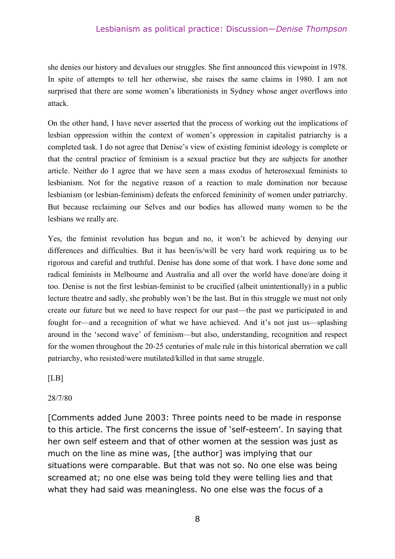she denies our history and devalues our struggles. She first announced this viewpoint in 1978. In spite of attempts to tell her otherwise, she raises the same claims in 1980. I am not surprised that there are some women's liberationists in Sydney whose anger overflows into attack.

On the other hand, I have never asserted that the process of working out the implications of lesbian oppression within the context of women's oppression in capitalist patriarchy is a completed task. I do not agree that Denise's view of existing feminist ideology is complete or that the central practice of feminism is a sexual practice but they are subjects for another article. Neither do I agree that we have seen a mass exodus of heterosexual feminists to lesbianism. Not for the negative reason of a reaction to male domination nor because lesbianism (or lesbian-feminism) defeats the enforced femininity of women under patriarchy. But because reclaiming our Selves and our bodies has allowed many women to be the lesbians we really are.

Yes, the feminist revolution has begun and no, it won't be achieved by denying our differences and difficulties. But it has been/is/will be very hard work requiring us to be rigorous and careful and truthful. Denise has done some of that work. I have done some and radical feminists in Melbourne and Australia and all over the world have done/are doing it too. Denise is not the first lesbian-feminist to be crucified (albeit unintentionally) in a public lecture theatre and sadly, she probably won't be the last. But in this struggle we must not only create our future but we need to have respect for our past—the past we participated in and fought for—and a recognition of what we have achieved. And it's not just us—splashing around in the 'second wave' of feminism—but also, understanding, recognition and respect for the women throughout the 20-25 centuries of male rule in this historical aberration we call patriarchy, who resisted/were mutilated/killed in that same struggle.

 $[LB]$ 

#### 28/7/80

[Comments added June 2003: Three points need to be made in response to this article. The first concerns the issue of 'self-esteem'. In saying that her own self esteem and that of other women at the session was just as much on the line as mine was, [the author] was implying that our situations were comparable. But that was not so. No one else was being screamed at; no one else was being told they were telling lies and that what they had said was meaningless. No one else was the focus of a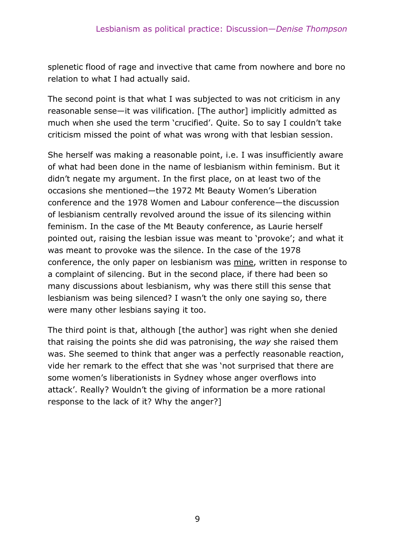splenetic flood of rage and invective that came from nowhere and bore no relation to what I had actually said.

The second point is that what I was subjected to was not criticism in any reasonable sense—it was vilification. [The author] implicitly admitted as much when she used the term 'crucified'. Quite. So to say I couldn't take criticism missed the point of what was wrong with that lesbian session.

She herself was making a reasonable point, i.e. I was insufficiently aware of what had been done in the name of lesbianism within feminism. But it didn't negate my argument. In the first place, on at least two of the occasions she mentioned—the 1972 Mt Beauty Women's Liberation conference and the 1978 Women and Labour conference—the discussion of lesbianism centrally revolved around the issue of its silencing within feminism. In the case of the Mt Beauty conference, as Laurie herself pointed out, raising the lesbian issue was meant to 'provoke'; and what it was meant to provoke was the silence. In the case of the 1978 conference, the only paper on lesbianism was mine, written in response to a complaint of silencing. But in the second place, if there had been so many discussions about lesbianism, why was there still this sense that lesbianism was being silenced? I wasn't the only one saying so, there were many other lesbians saying it too.

The third point is that, although [the author] was right when she denied that raising the points she did was patronising, the *way* she raised them was. She seemed to think that anger was a perfectly reasonable reaction, vide her remark to the effect that she was 'not surprised that there are some women's liberationists in Sydney whose anger overflows into attack'. Really? Wouldn't the giving of information be a more rational response to the lack of it? Why the anger?]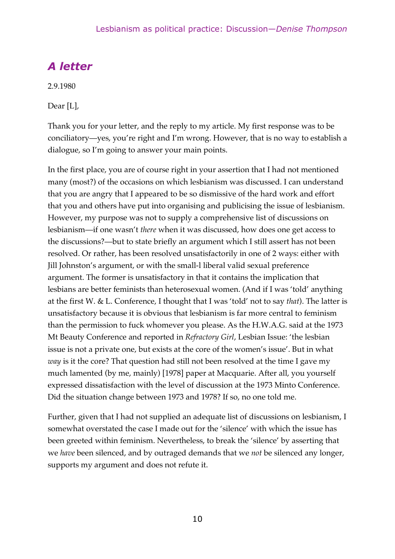## *A letter*

2.9.1980

Dear [L],

Thank you for your letter, and the reply to my article. My first response was to be conciliatory—yes, you're right and I'm wrong. However, that is no way to establish a dialogue, so I'm going to answer your main points.

In the first place, you are of course right in your assertion that I had not mentioned many (most?) of the occasions on which lesbianism was discussed. I can understand that you are angry that I appeared to be so dismissive of the hard work and effort that you and others have put into organising and publicising the issue of lesbianism. However, my purpose was not to supply a comprehensive list of discussions on lesbianism—if one wasn't *there* when it was discussed, how does one get access to the discussions?—but to state briefly an argument which I still assert has not been resolved. Or rather, has been resolved unsatisfactorily in one of 2 ways: either with Jill Johnston's argument, or with the small-l liberal valid sexual preference argument. The former is unsatisfactory in that it contains the implication that lesbians are better feminists than heterosexual women. (And if I was 'told' anything at the first W. & L. Conference, I thought that I was 'told' not to say *that*). The latter is unsatisfactory because it is obvious that lesbianism is far more central to feminism than the permission to fuck whomever you please. As the H.W.A.G. said at the 1973 Mt Beauty Conference and reported in *Refractory Girl*, Lesbian Issue: 'the lesbian issue is not a private one, but exists at the core of the women's issue'. But in what *way* is it the core? That question had still not been resolved at the time I gave my much lamented (by me, mainly) [1978] paper at Macquarie. After all, you yourself expressed dissatisfaction with the level of discussion at the 1973 Minto Conference. Did the situation change between 1973 and 1978? If so, no one told me.

Further, given that I had not supplied an adequate list of discussions on lesbianism, I somewhat overstated the case I made out for the 'silence' with which the issue has been greeted within feminism. Nevertheless, to break the 'silence' by asserting that we *have* been silenced, and by outraged demands that we *not* be silenced any longer, supports my argument and does not refute it.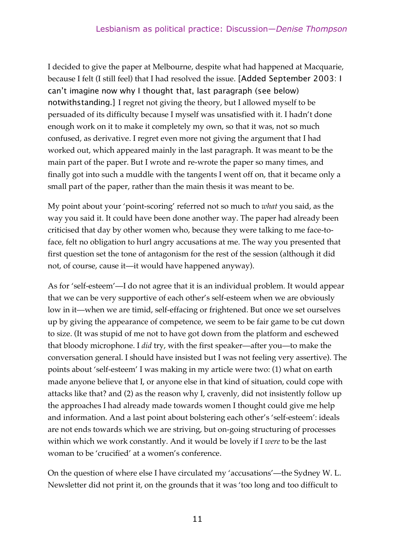I decided to give the paper at Melbourne, despite what had happened at Macquarie, because I felt (I still feel) that I had resolved the issue. [Added September 2003: I can't imagine now why I thought that, last paragraph (see below) notwithstanding.] I regret not giving the theory, but I allowed myself to be persuaded of its difficulty because I myself was unsatisfied with it. I hadn't done enough work on it to make it completely my own, so that it was, not so much confused, as derivative. I regret even more not giving the argument that I had worked out, which appeared mainly in the last paragraph. It was meant to be the main part of the paper. But I wrote and re-wrote the paper so many times, and finally got into such a muddle with the tangents I went off on, that it became only a small part of the paper, rather than the main thesis it was meant to be.

My point about your 'point-scoring' referred not so much to *what* you said, as the way you said it. It could have been done another way. The paper had already been criticised that day by other women who, because they were talking to me face-toface, felt no obligation to hurl angry accusations at me. The way you presented that first question set the tone of antagonism for the rest of the session (although it did not, of course, cause it—it would have happened anyway).

As for 'self-esteem'—I do not agree that it is an individual problem. It would appear that we can be very supportive of each other's self-esteem when we are obviously low in it—when we are timid, self-effacing or frightened. But once we set ourselves up by giving the appearance of competence, we seem to be fair game to be cut down to size. (It was stupid of me not to have got down from the platform and eschewed that bloody microphone. I *did* try, with the first speaker—after you—to make the conversation general. I should have insisted but I was not feeling very assertive). The points about 'self-esteem' I was making in my article were two: (1) what on earth made anyone believe that I, or anyone else in that kind of situation, could cope with attacks like that? and (2) as the reason why I, cravenly, did not insistently follow up the approaches I had already made towards women I thought could give me help and information. And a last point about bolstering each other's 'self-esteem': ideals are not ends towards which we are striving, but on-going structuring of processes within which we work constantly. And it would be lovely if I *were* to be the last woman to be 'crucified' at a women's conference.

On the question of where else I have circulated my 'accusations'—the Sydney W. L. Newsletter did not print it, on the grounds that it was 'too long and too difficult to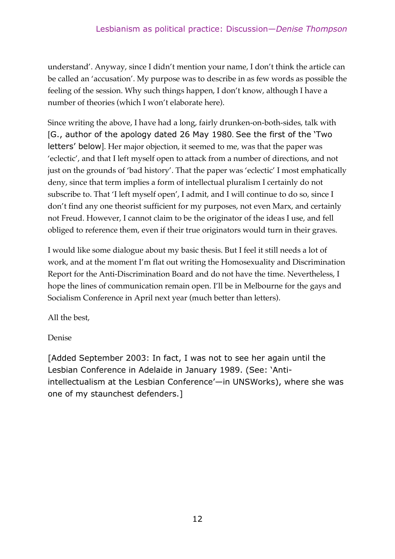understand'. Anyway, since I didn't mention your name, I don't think the article can be called an 'accusation'. My purpose was to describe in as few words as possible the feeling of the session. Why such things happen, I don't know, although I have a number of theories (which I won't elaborate here).

Since writing the above, I have had a long, fairly drunken-on-both-sides, talk with [G., author of the apology dated 26 May 1980. See the first of the 'Two letters' below]. Her major objection, it seemed to me, was that the paper was 'eclectic', and that I left myself open to attack from a number of directions, and not just on the grounds of 'bad history'. That the paper was 'eclectic' I most emphatically deny, since that term implies a form of intellectual pluralism I certainly do not subscribe to. That 'I left myself open', I admit, and I will continue to do so, since I don't find any one theorist sufficient for my purposes, not even Marx, and certainly not Freud. However, I cannot claim to be the originator of the ideas I use, and fell obliged to reference them, even if their true originators would turn in their graves.

I would like some dialogue about my basic thesis. But I feel it still needs a lot of work, and at the moment I'm flat out writing the Homosexuality and Discrimination Report for the Anti-Discrimination Board and do not have the time. Nevertheless, I hope the lines of communication remain open. I'll be in Melbourne for the gays and Socialism Conference in April next year (much better than letters).

All the best,

Denise

[Added September 2003: In fact, I was not to see her again until the Lesbian Conference in Adelaide in January 1989. (See: 'Antiintellectualism at the Lesbian Conference'—in UNSWorks), where she was one of my staunchest defenders.]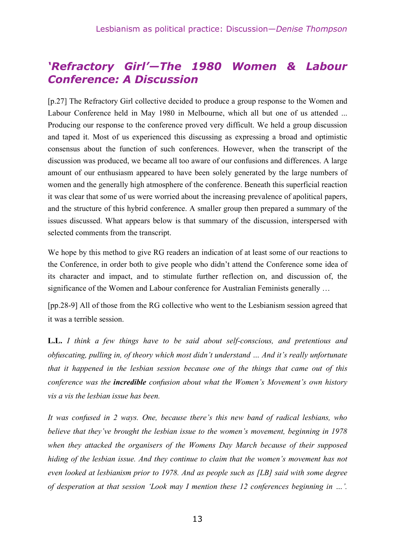## *'Refractory Girl'—The 1980 Women & Labour Conference: A Discussion*

[p.27] The Refractory Girl collective decided to produce a group response to the Women and Labour Conference held in May 1980 in Melbourne, which all but one of us attended ... Producing our response to the conference proved very difficult. We held a group discussion and taped it. Most of us experienced this discussing as expressing a broad and optimistic consensus about the function of such conferences. However, when the transcript of the discussion was produced, we became all too aware of our confusions and differences. A large amount of our enthusiasm appeared to have been solely generated by the large numbers of women and the generally high atmosphere of the conference. Beneath this superficial reaction it was clear that some of us were worried about the increasing prevalence of apolitical papers, and the structure of this hybrid conference. A smaller group then prepared a summary of the issues discussed. What appears below is that summary of the discussion, interspersed with selected comments from the transcript.

We hope by this method to give RG readers an indication of at least some of our reactions to the Conference, in order both to give people who didn't attend the Conference some idea of its character and impact, and to stimulate further reflection on, and discussion of, the significance of the Women and Labour conference for Australian Feminists generally …

[pp.28-9] All of those from the RG collective who went to the Lesbianism session agreed that it was a terrible session.

**L.L.** *I think a few things have to be said about self-conscious, and pretentious and obfuscating, pulling in, of theory which most didn't understand … And it's really unfortunate that it happened in the lesbian session because one of the things that came out of this conference was the incredible confusion about what the Women's Movement's own history vis a vis the lesbian issue has been.*

*It was confused in 2 ways. One, because there's this new band of radical lesbians, who believe that they've brought the lesbian issue to the women's movement, beginning in 1978 when they attacked the organisers of the Womens Day March because of their supposed hiding of the lesbian issue. And they continue to claim that the women's movement has not even looked at lesbianism prior to 1978. And as people such as [LB] said with some degree of desperation at that session 'Look may I mention these 12 conferences beginning in …'.*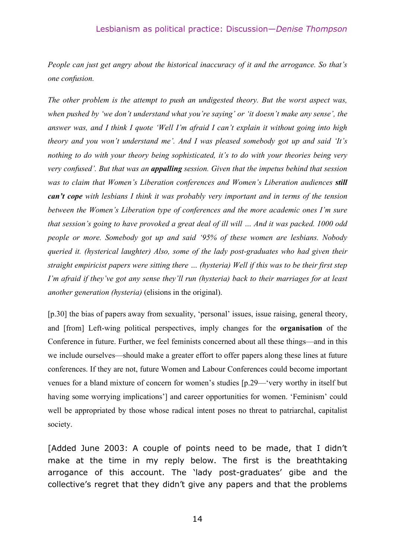#### Lesbianism as political practice: Discussion—*Denise Thompson*

*People can just get angry about the historical inaccuracy of it and the arrogance. So that's one confusion.*

*The other problem is the attempt to push an undigested theory. But the worst aspect was, when pushed by 'we don't understand what you're saying' or 'it doesn't make any sense', the answer was, and I think I quote 'Well I'm afraid I can't explain it without going into high theory and you won't understand me'. And I was pleased somebody got up and said 'It's nothing to do with your theory being sophisticated, it's to do with your theories being very very confused'. But that was an appalling session. Given that the impetus behind that session was to claim that Women's Liberation conferences and Women's Liberation audiences still can't cope with lesbians I think it was probably very important and in terms of the tension between the Women's Liberation type of conferences and the more academic ones I'm sure that session's going to have provoked a great deal of ill will … And it was packed. 1000 odd people or more. Somebody got up and said '95% of these women are lesbians. Nobody queried it. (hysterical laughter) Also, some of the lady post-graduates who had given their straight empiricist papers were sitting there … (hysteria) Well if this was to be their first step I'm afraid if they've got any sense they'll run (hysteria) back to their marriages for at least another generation (hysteria)* (elisions in the original).

[p.30] the bias of papers away from sexuality, 'personal' issues, issue raising, general theory, and [from] Left-wing political perspectives, imply changes for the **organisation** of the Conference in future. Further, we feel feminists concerned about all these things—and in this we include ourselves—should make a greater effort to offer papers along these lines at future conferences. If they are not, future Women and Labour Conferences could become important venues for a bland mixture of concern for women's studies [p.29—'very worthy in itself but having some worrying implications'] and career opportunities for women. 'Feminism' could well be appropriated by those whose radical intent poses no threat to patriarchal, capitalist society.

[Added June 2003: A couple of points need to be made, that I didn't make at the time in my reply below. The first is the breathtaking arrogance of this account. The 'lady post-graduates' gibe and the collective's regret that they didn't give any papers and that the problems

14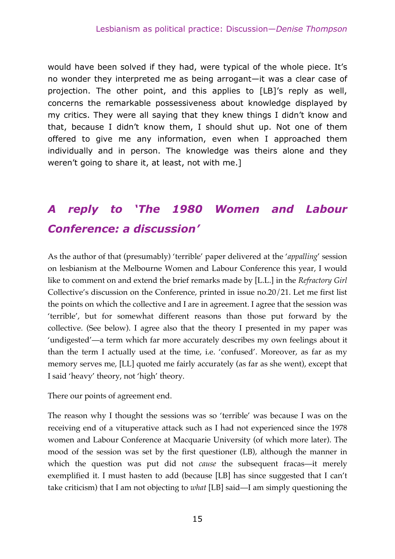would have been solved if they had, were typical of the whole piece. It's no wonder they interpreted me as being arrogant—it was a clear case of projection. The other point, and this applies to [LB]'s reply as well, concerns the remarkable possessiveness about knowledge displayed by my critics. They were all saying that they knew things I didn't know and that, because I didn't know them, I should shut up. Not one of them offered to give me any information, even when I approached them individually and in person. The knowledge was theirs alone and they weren't going to share it, at least, not with me.]

## *A reply to 'The 1980 Women and Labour Conference: a discussion'*

As the author of that (presumably) 'terrible' paper delivered at the '*appalling*' session on lesbianism at the Melbourne Women and Labour Conference this year, I would like to comment on and extend the brief remarks made by [L.L.] in the *Refractory Girl* Collective's discussion on the Conference, printed in issue no.20/21. Let me first list the points on which the collective and I are in agreement. I agree that the session was 'terrible', but for somewhat different reasons than those put forward by the collective. (See below). I agree also that the theory I presented in my paper was 'undigested'—a term which far more accurately describes my own feelings about it than the term I actually used at the time, i.e. 'confused'. Moreover, as far as my memory serves me, [LL] quoted me fairly accurately (as far as she went), except that I said 'heavy' theory, not 'high' theory.

There our points of agreement end.

The reason why I thought the sessions was so 'terrible' was because I was on the receiving end of a vituperative attack such as I had not experienced since the 1978 women and Labour Conference at Macquarie University (of which more later). The mood of the session was set by the first questioner (LB), although the manner in which the question was put did not *cause* the subsequent fracas—it merely exemplified it. I must hasten to add (because [LB] has since suggested that I can't take criticism) that I am not objecting to *what* [LB] said—I am simply questioning the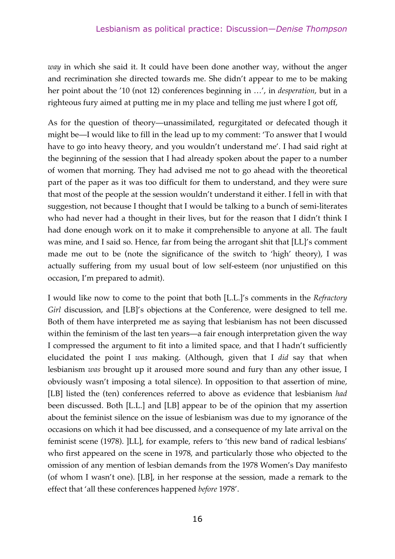*way* in which she said it. It could have been done another way, without the anger and recrimination she directed towards me. She didn't appear to me to be making her point about the '10 (not 12) conferences beginning in …', in *desperation*, but in a righteous fury aimed at putting me in my place and telling me just where I got off,

As for the question of theory—unassimilated, regurgitated or defecated though it might be—I would like to fill in the lead up to my comment: 'To answer that I would have to go into heavy theory, and you wouldn't understand me'. I had said right at the beginning of the session that I had already spoken about the paper to a number of women that morning. They had advised me not to go ahead with the theoretical part of the paper as it was too difficult for them to understand, and they were sure that most of the people at the session wouldn't understand it either. I fell in with that suggestion, not because I thought that I would be talking to a bunch of semi-literates who had never had a thought in their lives, but for the reason that I didn't think I had done enough work on it to make it comprehensible to anyone at all. The fault was mine, and I said so. Hence, far from being the arrogant shit that [LL]'s comment made me out to be (note the significance of the switch to 'high' theory), I was actually suffering from my usual bout of low self-esteem (nor unjustified on this occasion, I'm prepared to admit).

I would like now to come to the point that both [L.L.]'s comments in the *Refractory Girl* discussion, and [LB]'s objections at the Conference, were designed to tell me. Both of them have interpreted me as saying that lesbianism has not been discussed within the feminism of the last ten years—a fair enough interpretation given the way I compressed the argument to fit into a limited space, and that I hadn't sufficiently elucidated the point I *was* making. (Although, given that I *did* say that when lesbianism *was* brought up it aroused more sound and fury than any other issue, I obviously wasn't imposing a total silence). In opposition to that assertion of mine, [LB] listed the (ten) conferences referred to above as evidence that lesbianism *had* been discussed. Both [L.L.] and [LB] appear to be of the opinion that my assertion about the feminist silence on the issue of lesbianism was due to my ignorance of the occasions on which it had bee discussed, and a consequence of my late arrival on the feminist scene (1978). ]LL], for example, refers to 'this new band of radical lesbians' who first appeared on the scene in 1978, and particularly those who objected to the omission of any mention of lesbian demands from the 1978 Women's Day manifesto (of whom I wasn't one). [LB], in her response at the session, made a remark to the effect that 'all these conferences happened *before* 1978'.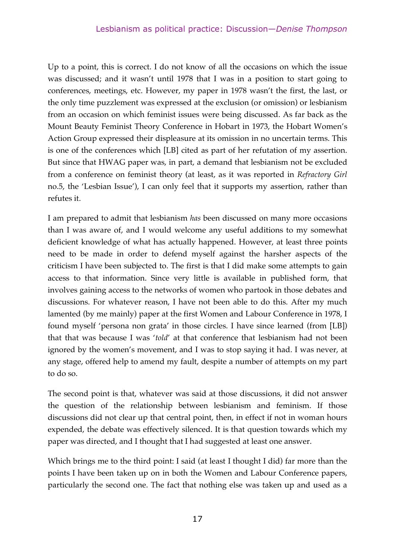Up to a point, this is correct. I do not know of all the occasions on which the issue was discussed; and it wasn't until 1978 that I was in a position to start going to conferences, meetings, etc. However, my paper in 1978 wasn't the first, the last, or the only time puzzlement was expressed at the exclusion (or omission) or lesbianism from an occasion on which feminist issues were being discussed. As far back as the Mount Beauty Feminist Theory Conference in Hobart in 1973, the Hobart Women's Action Group expressed their displeasure at its omission in no uncertain terms. This is one of the conferences which [LB] cited as part of her refutation of my assertion. But since that HWAG paper was, in part, a demand that lesbianism not be excluded from a conference on feminist theory (at least, as it was reported in *Refractory Girl* no.5, the 'Lesbian Issue'), I can only feel that it supports my assertion, rather than refutes it.

I am prepared to admit that lesbianism *has* been discussed on many more occasions than I was aware of, and I would welcome any useful additions to my somewhat deficient knowledge of what has actually happened. However, at least three points need to be made in order to defend myself against the harsher aspects of the criticism I have been subjected to. The first is that I did make some attempts to gain access to that information. Since very little is available in published form, that involves gaining access to the networks of women who partook in those debates and discussions. For whatever reason, I have not been able to do this. After my much lamented (by me mainly) paper at the first Women and Labour Conference in 1978, I found myself 'persona non grata' in those circles. I have since learned (from [LB]) that that was because I was '*told*' at that conference that lesbianism had not been ignored by the women's movement, and I was to stop saying it had. I was never, at any stage, offered help to amend my fault, despite a number of attempts on my part to do so.

The second point is that, whatever was said at those discussions, it did not answer the question of the relationship between lesbianism and feminism. If those discussions did not clear up that central point, then, in effect if not in woman hours expended, the debate was effectively silenced. It is that question towards which my paper was directed, and I thought that I had suggested at least one answer.

Which brings me to the third point: I said (at least I thought I did) far more than the points I have been taken up on in both the Women and Labour Conference papers, particularly the second one. The fact that nothing else was taken up and used as a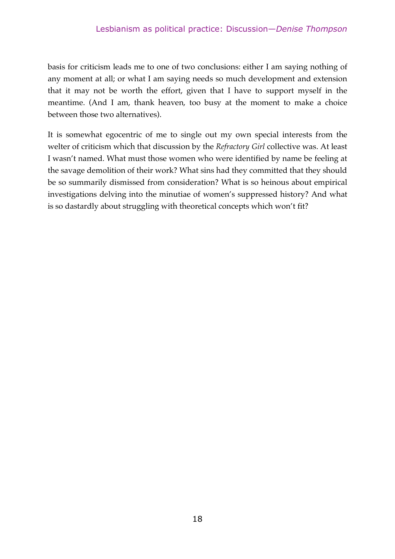basis for criticism leads me to one of two conclusions: either I am saying nothing of any moment at all; or what I am saying needs so much development and extension that it may not be worth the effort, given that I have to support myself in the meantime. (And I am, thank heaven, too busy at the moment to make a choice between those two alternatives).

It is somewhat egocentric of me to single out my own special interests from the welter of criticism which that discussion by the *Refractory Girl* collective was. At least I wasn't named. What must those women who were identified by name be feeling at the savage demolition of their work? What sins had they committed that they should be so summarily dismissed from consideration? What is so heinous about empirical investigations delving into the minutiae of women's suppressed history? And what is so dastardly about struggling with theoretical concepts which won't fit?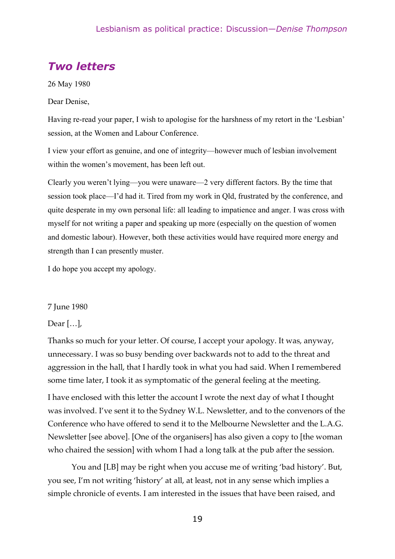## *Two letters*

26 May 1980

Dear Denise,

Having re-read your paper, I wish to apologise for the harshness of my retort in the 'Lesbian' session, at the Women and Labour Conference.

I view your effort as genuine, and one of integrity—however much of lesbian involvement within the women's movement, has been left out.

Clearly you weren't lying—you were unaware—2 very different factors. By the time that session took place—I'd had it. Tired from my work in Qld, frustrated by the conference, and quite desperate in my own personal life: all leading to impatience and anger. I was cross with myself for not writing a paper and speaking up more (especially on the question of women and domestic labour). However, both these activities would have required more energy and strength than I can presently muster.

I do hope you accept my apology.

#### 7 June 1980

#### Dear […],

Thanks so much for your letter. Of course, I accept your apology. It was, anyway, unnecessary. I was so busy bending over backwards not to add to the threat and aggression in the hall, that I hardly took in what you had said. When I remembered some time later, I took it as symptomatic of the general feeling at the meeting.

I have enclosed with this letter the account I wrote the next day of what I thought was involved. I've sent it to the Sydney W.L. Newsletter, and to the convenors of the Conference who have offered to send it to the Melbourne Newsletter and the L.A.G. Newsletter [see above]. [One of the organisers] has also given a copy to [the woman who chaired the session] with whom I had a long talk at the pub after the session.

You and [LB] may be right when you accuse me of writing 'bad history'. But, you see, I'm not writing 'history' at all, at least, not in any sense which implies a simple chronicle of events. I am interested in the issues that have been raised, and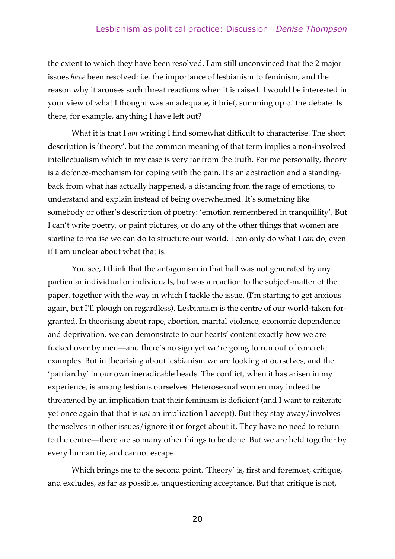#### Lesbianism as political practice: Discussion—*Denise Thompson*

the extent to which they have been resolved. I am still unconvinced that the 2 major issues *have* been resolved: i.e. the importance of lesbianism to feminism, and the reason why it arouses such threat reactions when it is raised. I would be interested in your view of what I thought was an adequate, if brief, summing up of the debate. Is there, for example, anything I have left out?

What it is that I *am* writing I find somewhat difficult to characterise. The short description is 'theory', but the common meaning of that term implies a non-involved intellectualism which in my case is very far from the truth. For me personally, theory is a defence-mechanism for coping with the pain. It's an abstraction and a standingback from what has actually happened, a distancing from the rage of emotions, to understand and explain instead of being overwhelmed. It's something like somebody or other's description of poetry: 'emotion remembered in tranquillity'. But I can't write poetry, or paint pictures, or do any of the other things that women are starting to realise we can do to structure our world. I can only do what I *can* do, even if I am unclear about what that is.

You see, I think that the antagonism in that hall was not generated by any particular individual or individuals, but was a reaction to the subject-matter of the paper, together with the way in which I tackle the issue. (I'm starting to get anxious again, but I'll plough on regardless). Lesbianism is the centre of our world-taken-forgranted. In theorising about rape, abortion, marital violence, economic dependence and deprivation, we can demonstrate to our hearts' content exactly how we are fucked over by men—and there's no sign yet we're going to run out of concrete examples. But in theorising about lesbianism we are looking at ourselves, and the 'patriarchy' in our own ineradicable heads. The conflict, when it has arisen in my experience, is among lesbians ourselves. Heterosexual women may indeed be threatened by an implication that their feminism is deficient (and I want to reiterate yet once again that that is *not* an implication I accept). But they stay away/involves themselves in other issues/ignore it or forget about it. They have no need to return to the centre—there are so many other things to be done. But we are held together by every human tie, and cannot escape.

Which brings me to the second point. 'Theory' is, first and foremost, critique, and excludes, as far as possible, unquestioning acceptance. But that critique is not,

20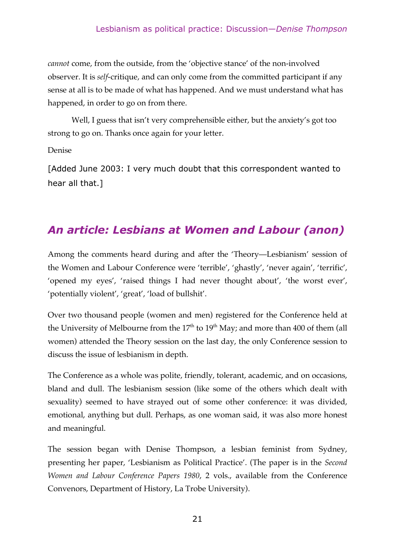#### Lesbianism as political practice: Discussion—*Denise Thompson*

*cannot* come, from the outside, from the 'objective stance' of the non-involved observer. It is *self*-critique, and can only come from the committed participant if any sense at all is to be made of what has happened. And we must understand what has happened, in order to go on from there.

Well, I guess that isn't very comprehensible either, but the anxiety's got too strong to go on. Thanks once again for your letter.

Denise

[Added June 2003: I very much doubt that this correspondent wanted to hear all that.]

## *An article: Lesbians at Women and Labour (anon)*

Among the comments heard during and after the 'Theory—Lesbianism' session of the Women and Labour Conference were 'terrible', 'ghastly', 'never again', 'terrific', 'opened my eyes', 'raised things I had never thought about', 'the worst ever', 'potentially violent', 'great', 'load of bullshit'.

Over two thousand people (women and men) registered for the Conference held at the University of Melbourne from the  $17^{\text{th}}$  to  $19^{\text{th}}$  May; and more than 400 of them (all women) attended the Theory session on the last day, the only Conference session to discuss the issue of lesbianism in depth.

The Conference as a whole was polite, friendly, tolerant, academic, and on occasions, bland and dull. The lesbianism session (like some of the others which dealt with sexuality) seemed to have strayed out of some other conference: it was divided, emotional, anything but dull. Perhaps, as one woman said, it was also more honest and meaningful.

The session began with Denise Thompson, a lesbian feminist from Sydney, presenting her paper, 'Lesbianism as Political Practice'. (The paper is in the *Second Women and Labour Conference Papers 1980*, 2 vols., available from the Conference Convenors, Department of History, La Trobe University).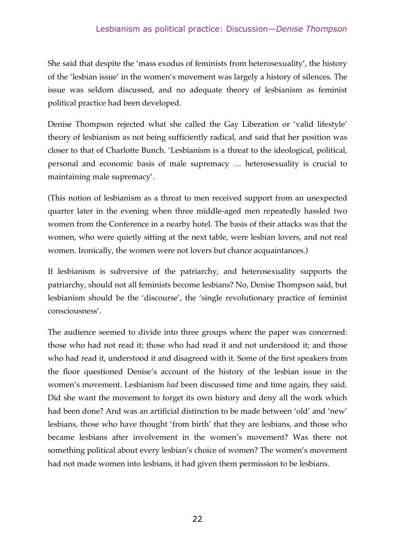She said that despite the 'mass exodus of feminists from heterosexuality', the history of the 'lesbian issue' in the women's movement was largely a history of silences. The issue was seldom discussed, and no adequate theory of lesbianism as feminist political practice had been developed.

Denise Thompson rejected what she called the Gay Liberation or 'valid lifestyle' theory of lesbianism as not being sufficiently radical, and said that her position was closer to that of Charlotte Bunch. 'Lesbianism is a threat to the ideological, political, personal and economic basis of male supremacy … heterosexuality is crucial to maintaining male supremacy'.

(This notion of lesbianism as a threat to men received support from an unexpected quarter later in the evening when three middle-aged men repeatedly hassled two women from the Conference in a nearby hotel. The basis of their attacks was that the women, who were quietly sitting at the next table, were lesbian lovers, and not real women. Ironically, the women were not lovers but chance acquaintances.)

If lesbianism is subversive of the patriarchy, and heterosexuality supports the patriarchy, should not all feminists become lesbians? No, Denise Thompson said, but lesbianism should be the 'discourse', the 'single revolutionary practice of feminist consciousness'.

The audience seemed to divide into three groups where the paper was concerned: those who had not read it; those who had read it and not understood it; and those who had read it, understood it and disagreed with it. Some of the first speakers from the floor questioned Denise's account of the history of the lesbian issue in the women's movement. Lesbianism *had* been discussed time and time again, they said. Did she want the movement to forget its own history and deny all the work which had been done? And was an artificial distinction to be made between 'old' and 'new' lesbians, those who have thought 'from birth' that they are lesbians, and those who became lesbians after involvement in the women's movement? Was there not something political about every lesbian's choice of women? The women's movement had not made women into lesbians, it had given them permission to be lesbians.